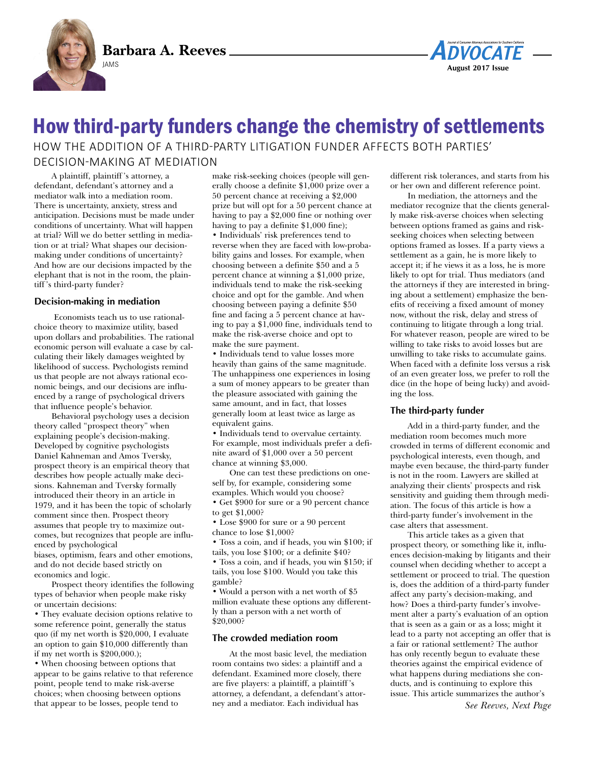**Barbara A. Reeves**





# How third-party funders change the chemistry of settlements HOW THE ADDITION OF A THIRD-PARTY LITIGATION FUNDER AFFECTS BOTH PARTIES' decision-making at mediation

A plaintiff, plaintiff 's attorney, a defendant, defendant's attorney and a mediator walk into a mediation room. There is uncertainty, anxiety, stress and anticipation. Decisions must be made under conditions of uncertainty. What will happen at trial? Will we do better settling in mediation or at trial? What shapes our decisionmaking under conditions of uncertainty? And how are our decisions impacted by the elephant that is not in the room, the plaintiff 's third-party funder?

## **Decision-making in mediation**

Economists teach us to use rationalchoice theory to maximize utility, based upon dollars and probabilities. The rational economic person will evaluate a case by calculating their likely damages weighted by likelihood of success. Psychologists remind us that people are not always rational economic beings, and our decisions are influenced by a range of psychological drivers that influence people's behavior.

Behavioral psychology uses a decision theory called "prospect theory" when explaining people's decision-making. Developed by cognitive psychologists Daniel Kahneman and Amos Tversky, prospect theory is an empirical theory that describes how people actually make decisions. Kahneman and Tversky formally introduced their theory in an article in 1979, and it has been the topic of scholarly comment since then. Prospect theory assumes that people try to maximize outcomes, but recognizes that people are influenced by psychological biases, optimism, fears and other emotions, and do not decide based strictly on economics and logic.

Prospect theory identifies the following types of behavior when people make risky or uncertain decisions:

• They evaluate decision options relative to some reference point, generally the status quo (if my net worth is \$20,000, I evaluate an option to gain \$10,000 differently than if my net worth is \$200,000.);

• When choosing between options that appear to be gains relative to that reference point, people tend to make risk-averse choices; when choosing between options that appear to be losses, people tend to

make risk-seeking choices (people will generally choose a definite \$1,000 prize over a 50 percent chance at receiving a \$2,000 prize but will opt for a 50 percent chance at having to pay a \$2,000 fine or nothing over having to pay a definite \$1,000 fine); • Individuals' risk preferences tend to reverse when they are faced with low-probability gains and losses. For example, when choosing between a definite \$50 and a 5 percent chance at winning a \$1,000 prize, individuals tend to make the risk-seeking choice and opt for the gamble. And when choosing between paying a definite \$50 fine and facing a 5 percent chance at having to pay a \$1,000 fine, individuals tend to make the risk-averse choice and opt to make the sure payment.

• Individuals tend to value losses more heavily than gains of the same magnitude. The unhappiness one experiences in losing a sum of money appears to be greater than the pleasure associated with gaining the same amount, and in fact, that losses generally loom at least twice as large as equivalent gains.

• Individuals tend to overvalue certainty. For example, most individuals prefer a definite award of \$1,000 over a 50 percent chance at winning \$3,000.

One can test these predictions on oneself by, for example, considering some examples. Which would you choose? • Get \$900 for sure or a 90 percent chance

to get \$1,000? • Lose \$900 for sure or a 90 percent

chance to lose \$1,000?

• Toss a coin, and if heads, you win \$100; if tails, you lose \$100; or a definite \$40? • Toss a coin, and if heads, you win \$150; if tails, you lose \$100. Would you take this gamble?

• Would a person with a net worth of \$5 million evaluate these options any differently than a person with a net worth of \$20,000?

### **The crowded mediation room**

At the most basic level, the mediation room contains two sides: a plaintiff and a defendant. Examined more closely, there are five players: a plaintiff, a plaintiff 's attorney, a defendant, a defendant's attorney and a mediator. Each individual has

different risk tolerances, and starts from his or her own and different reference point.

In mediation, the attorneys and the mediator recognize that the clients generally make risk-averse choices when selecting between options framed as gains and riskseeking choices when selecting between options framed as losses. If a party views a settlement as a gain, he is more likely to accept it; if he views it as a loss, he is more likely to opt for trial. Thus mediators (and the attorneys if they are interested in bringing about a settlement) emphasize the benefits of receiving a fixed amount of money now, without the risk, delay and stress of continuing to litigate through a long trial. For whatever reason, people are wired to be willing to take risks to avoid losses but are unwilling to take risks to accumulate gains. When faced with a definite loss versus a risk of an even greater loss, we prefer to roll the dice (in the hope of being lucky) and avoiding the loss.

### **The third-party funder**

Add in a third-party funder, and the mediation room becomes much more crowded in terms of different economic and psychological interests, even though, and maybe even because, the third-party funder is not in the room. Lawyers are skilled at analyzing their clients' prospects and risk sensitivity and guiding them through mediation. The focus of this article is how a third-party funder's involvement in the case alters that assessment.

This article takes as a given that prospect theory, or something like it, influences decision-making by litigants and their counsel when deciding whether to accept a settlement or proceed to trial. The question is, does the addition of a third-party funder affect any party's decision-making, and how? Does a third-party funder's involvement alter a party's evaluation of an option that is seen as a gain or as a loss; might it lead to a party not accepting an offer that is a fair or rational settlement? The author has only recently begun to evaluate these theories against the empirical evidence of what happens during mediations she conducts, and is continuing to explore this issue. This article summarizes the author's

*See Reeves, Next Page*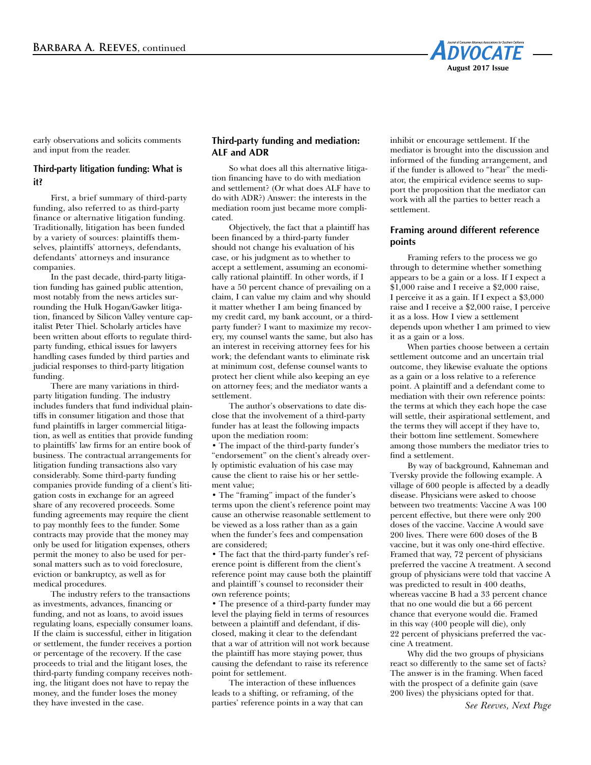

early observations and solicits comments and input from the reader.

# **Third-party litigation funding: What is it?**

First, a brief summary of third-party funding, also referred to as third-party finance or alternative litigation funding. Traditionally, litigation has been funded by a variety of sources: plaintiffs themselves, plaintiffs' attorneys, defendants, defendants' attorneys and insurance companies.

In the past decade, third-party litigation funding has gained public attention, most notably from the news articles surrounding the Hulk Hogan/Gawker litigation, financed by Silicon Valley venture capitalist Peter Thiel. Scholarly articles have been written about efforts to regulate thirdparty funding, ethical issues for lawyers handling cases funded by third parties and judicial responses to third-party litigation funding.

There are many variations in thirdparty litigation funding. The industry includes funders that fund individual plaintiffs in consumer litigation and those that fund plaintiffs in larger commercial litigation, as well as entities that provide funding to plaintiffs' law firms for an entire book of business. The contractual arrangements for litigation funding transactions also vary considerably. Some third-party funding companies provide funding of a client's litigation costs in exchange for an agreed share of any recovered proceeds. Some funding agreements may require the client to pay monthly fees to the funder. Some contracts may provide that the money may only be used for litigation expenses, others permit the money to also be used for personal matters such as to void foreclosure, eviction or bankruptcy, as well as for medical procedures.

The industry refers to the transactions as investments, advances, financing or funding, and not as loans, to avoid issues regulating loans, especially consumer loans. If the claim is successful, either in litigation or settlement, the funder receives a portion or percentage of the recovery. If the case proceeds to trial and the litigant loses, the third-party funding company receives nothing, the litigant does not have to repay the money, and the funder loses the money they have invested in the case.

## **Third-party funding and mediation: ALF and ADR**

So what does all this alternative litigation financing have to do with mediation and settlement? (Or what does ALF have to do with ADR?) Answer: the interests in the mediation room just became more complicated.

Objectively, the fact that a plaintiff has been financed by a third-party funder should not change his evaluation of his case, or his judgment as to whether to accept a settlement, assuming an economically rational plaintiff. In other words, if I have a 50 percent chance of prevailing on a claim, I can value my claim and why should it matter whether I am being financed by my credit card, my bank account, or a thirdparty funder? I want to maximize my recovery, my counsel wants the same, but also has an interest in receiving attorney fees for his work; the defendant wants to eliminate risk at minimum cost, defense counsel wants to protect her client while also keeping an eye on attorney fees; and the mediator wants a settlement.

The author's observations to date disclose that the involvement of a third-party funder has at least the following impacts upon the mediation room:

• The impact of the third-party funder's "endorsement" on the client's already overly optimistic evaluation of his case may cause the client to raise his or her settlement value;

• The "framing" impact of the funder's terms upon the client's reference point may cause an otherwise reasonable settlement to be viewed as a loss rather than as a gain when the funder's fees and compensation are considered;

• The fact that the third-party funder's reference point is different from the client's reference point may cause both the plaintiff and plaintiff 's counsel to reconsider their own reference points;

• The presence of a third-party funder may level the playing field in terms of resources between a plaintiff and defendant, if disclosed, making it clear to the defendant that a war of attrition will not work because the plaintiff has more staying power, thus causing the defendant to raise its reference point for settlement.

The interaction of these influences leads to a shifting, or reframing, of the parties' reference points in a way that can inhibit or encourage settlement. If the mediator is brought into the discussion and informed of the funding arrangement, and if the funder is allowed to "hear" the mediator, the empirical evidence seems to support the proposition that the mediator can work with all the parties to better reach a settlement.

# **Framing around different reference points**

Framing refers to the process we go through to determine whether something appears to be a gain or a loss. If I expect a \$1,000 raise and I receive a \$2,000 raise, I perceive it as a gain. If I expect a \$3,000 raise and I receive a \$2,000 raise, I perceive it as a loss. How I view a settlement depends upon whether I am primed to view it as a gain or a loss.

When parties choose between a certain settlement outcome and an uncertain trial outcome, they likewise evaluate the options as a gain or a loss relative to a reference point. A plaintiff and a defendant come to mediation with their own reference points: the terms at which they each hope the case will settle, their aspirational settlement, and the terms they will accept if they have to, their bottom line settlement. Somewhere among those numbers the mediator tries to find a settlement.

By way of background, Kahneman and Tversky provide the following example. A village of 600 people is affected by a deadly disease. Physicians were asked to choose between two treatments: Vaccine A was 100 percent effective, but there were only 200 doses of the vaccine. Vaccine A would save 200 lives. There were 600 doses of the B vaccine, but it was only one-third effective. Framed that way, 72 percent of physicians preferred the vaccine A treatment. A second group of physicians were told that vaccine A was predicted to result in 400 deaths, whereas vaccine B had a 33 percent chance that no one would die but a 66 percent chance that everyone would die. Framed in this way (400 people will die), only 22 percent of physicians preferred the vaccine A treatment.

Why did the two groups of physicians react so differently to the same set of facts? The answer is in the framing. When faced with the prospect of a definite gain (save 200 lives) the physicians opted for that.

*See Reeves, Next Page*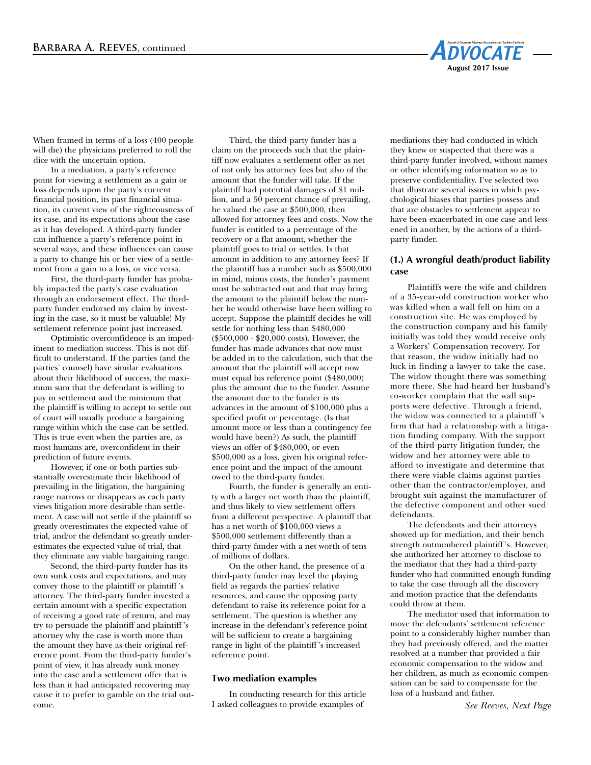

When framed in terms of a loss (400 people will die) the physicians preferred to roll the dice with the uncertain option.

In a mediation, a party's reference point for viewing a settlement as a gain or loss depends upon the party's current financial position, its past financial situation, its current view of the righteousness of its case, and its expectations about the case as it has developed. A third-party funder can influence a party's reference point in several ways, and these influences can cause a party to change his or her view of a settlement from a gain to a loss, or vice versa.

First, the third-party funder has probably impacted the party's case evaluation through an endorsement effect. The thirdparty funder endorsed my claim by investing in the case, so it must be valuable! My settlement reference point just increased.

Optimistic overconfidence is an impediment to mediation success. This is not difficult to understand. If the parties (and the parties' counsel) have similar evaluations about their likelihood of success, the maximum sum that the defendant is willing to pay in settlement and the minimum that the plaintiff is willing to accept to settle out of court will usually produce a bargaining range within which the case can be settled. This is true even when the parties are, as most humans are, overconfident in their prediction of future events.

However, if one or both parties substantially overestimate their likelihood of prevailing in the litigation, the bargaining range narrows or disappears as each party views litigation more desirable than settlement. A case will not settle if the plaintiff so greatly overestimates the expected value of trial, and/or the defendant so greatly underestimates the expected value of trial, that they eliminate any viable bargaining range.

Second, the third-party funder has its own sunk costs and expectations, and may convey those to the plaintiff or plaintiff 's attorney. The third-party funder invested a certain amount with a specific expectation of receiving a good rate of return, and may try to persuade the plaintiff and plaintiff 's attorney why the case is worth more than the amount they have as their original reference point. From the third-party funder's point of view, it has already sunk money into the case and a settlement offer that is less than it had anticipated recovering may cause it to prefer to gamble on the trial outcome.

Third, the third-party funder has a claim on the proceeds such that the plaintiff now evaluates a settlement offer as net of not only his attorney fees but also of the amount that the funder will take. If the plaintiff had potential damages of \$1 million, and a 50 percent chance of prevailing, he valued the case at \$500,000, then allowed for attorney fees and costs. Now the funder is entitled to a percentage of the recovery or a flat amount, whether the plaintiff goes to trial or settles. Is that amount in addition to any attorney fees? If the plaintiff has a number such as \$500,000 in mind, minus costs, the funder's payment must be subtracted out and that may bring the amount to the plaintiff below the number he would otherwise have been willing to accept. Suppose the plaintiff decides he will settle for nothing less than \$480,000 (\$500,000 - \$20,000 costs). However, the funder has made advances that now must be added in to the calculation, such that the amount that the plaintiff will accept now must equal his reference point (\$480,000) plus the amount due to the funder. Assume the amount due to the funder is its advances in the amount of \$100,000 plus a specified profit or percentage. (Is that amount more or less than a contingency fee would have been?) As such, the plaintiff views an offer of \$480,000, or even \$500,000 as a loss, given his original reference point and the impact of the amount owed to the third-party funder.

Fourth, the funder is generally an entity with a larger net worth than the plaintiff, and thus likely to view settlement offers from a different perspective. A plaintiff that has a net worth of \$100,000 views a \$500,000 settlement differently than a third-party funder with a net worth of tens of millions of dollars.

On the other hand, the presence of a third-party funder may level the playing field as regards the parties' relative resources, and cause the opposing party defendant to raise its reference point for a settlement. The question is whether any increase in the defendant's reference point will be sufficient to create a bargaining range in light of the plaintiff 's increased reference point.

#### **Two mediation examples**

In conducting research for this article I asked colleagues to provide examples of

mediations they had conducted in which they knew or suspected that there was a third-party funder involved, without names or other identifying information so as to preserve confidentiality. I've selected two that illustrate several issues in which psychological biases that parties possess and that are obstacles to settlement appear to have been exacerbated in one case and lessened in another, by the actions of a thirdparty funder.

## **(1.) A wrongful death/product liability case**

Plaintiffs were the wife and children of a 35-year-old construction worker who was killed when a wall fell on him on a construction site. He was employed by the construction company and his family initially was told they would receive only a Workers' Compensation recovery. For that reason, the widow initially had no luck in finding a lawyer to take the case. The widow thought there was something more there. She had heard her husband's co-worker complain that the wall supports were defective. Through a friend, the widow was connected to a plaintiff 's firm that had a relationship with a litigation funding company. With the support of the third-party litigation funder, the widow and her attorney were able to afford to investigate and determine that there were viable claims against parties other than the contractor/employer, and brought suit against the manufacturer of the defective component and other sued defendants.

The defendants and their attorneys showed up for mediation, and their bench strength outnumbered plaintiff 's. However, she authorized her attorney to disclose to the mediator that they had a third-party funder who had committed enough funding to take the case through all the discovery and motion practice that the defendants could throw at them.

The mediator used that information to move the defendants' settlement reference point to a considerably higher number than they had previously offered, and the matter resolved at a number that provided a fair economic compensation to the widow and her children, as much as economic compensation can be said to compensate for the loss of a husband and father.

*See Reeves, Next Page*